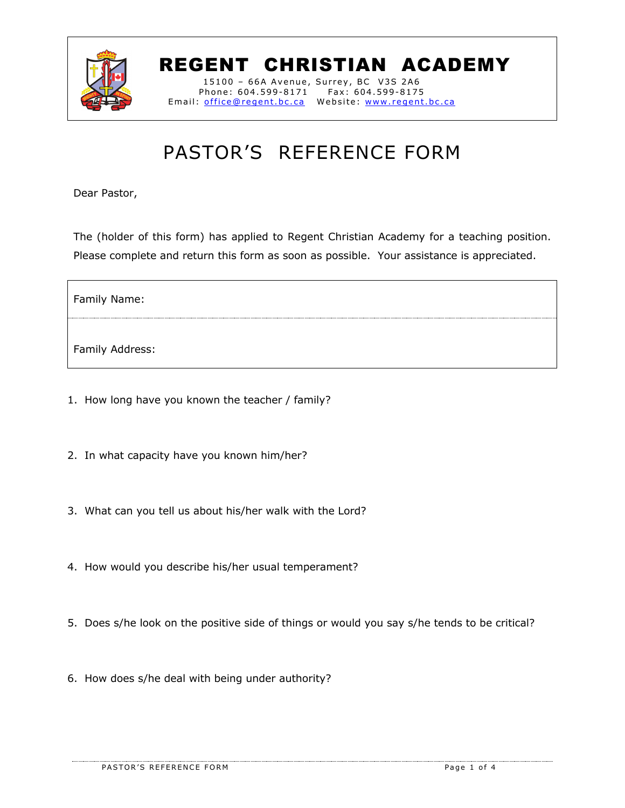

## REGENT CHRISTIAN ACADEMY

15100 – 66A Avenue, Surrey, BC V3S 2A6 Phone: 604.599-8171 Fax: 604.599-8175 Email: office@regent.bc.ca Website: www.regent.bc.ca

## PASTOR'S REFERENCE FORM

Dear Pastor,

The (holder of this form) has applied to Regent Christian Academy for a teaching position. Please complete and return this form as soon as possible. Your assistance is appreciated.

Family Name:

Family Address:

- 1. How long have you known the teacher / family?
- 2. In what capacity have you known him/her?
- 3. What can you tell us about his/her walk with the Lord?
- 4. How would you describe his/her usual temperament?
- 5. Does s/he look on the positive side of things or would you say s/he tends to be critical?
- 6. How does s/he deal with being under authority?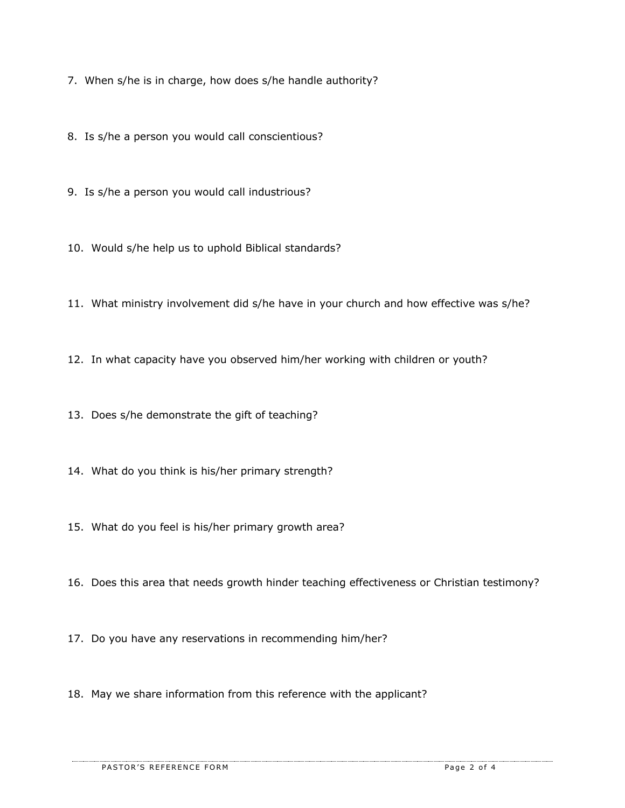7. When s/he is in charge, how does s/he handle authority?

8. Is s/he a person you would call conscientious?

9. Is s/he a person you would call industrious?

10. Would s/he help us to uphold Biblical standards?

11. What ministry involvement did s/he have in your church and how effective was s/he?

12. In what capacity have you observed him/her working with children or youth?

13. Does s/he demonstrate the gift of teaching?

14. What do you think is his/her primary strength?

15. What do you feel is his/her primary growth area?

16. Does this area that needs growth hinder teaching effectiveness or Christian testimony?

17. Do you have any reservations in recommending him/her?

18. May we share information from this reference with the applicant?

PASTOR'S REFERENCE FORM **PASTOR'S REFERENCE FORM**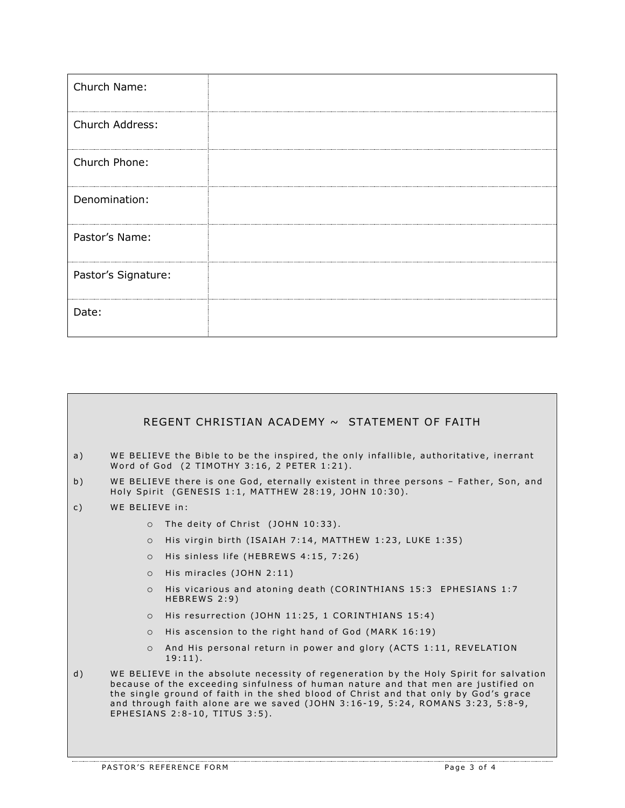| Church Name:        |  |
|---------------------|--|
| Church Address:     |  |
| Church Phone:       |  |
| Denomination:       |  |
| Pastor's Name:      |  |
| Pastor's Signature: |  |
| Date:               |  |

|                |                                                                                                                                                                                                                                                                                                                                                                                                 | REGENT CHRISTIAN ACADEMY ~ STATEMENT OF FAITH                                                                                                |  |  |
|----------------|-------------------------------------------------------------------------------------------------------------------------------------------------------------------------------------------------------------------------------------------------------------------------------------------------------------------------------------------------------------------------------------------------|----------------------------------------------------------------------------------------------------------------------------------------------|--|--|
| a)             |                                                                                                                                                                                                                                                                                                                                                                                                 | WE BELIEVE the Bible to be the inspired, the only infallible, authoritative, inerrant<br>Word of God (2 TIMOTHY 3:16, 2 PETER 1:21).         |  |  |
| b)             |                                                                                                                                                                                                                                                                                                                                                                                                 | WE BELIEVE there is one God, eternally existent in three persons - Father, Son, and<br>Holy Spirit (GENESIS 1:1, MATTHEW 28:19, JOHN 10:30). |  |  |
| $\mathsf{C}$ ) | WE BELIEVE in:                                                                                                                                                                                                                                                                                                                                                                                  |                                                                                                                                              |  |  |
|                | $\circ$                                                                                                                                                                                                                                                                                                                                                                                         | The deity of Christ (JOHN 10:33).                                                                                                            |  |  |
|                | $\Omega$                                                                                                                                                                                                                                                                                                                                                                                        | His virgin birth (ISAIAH 7:14, MATTHEW 1:23, LUKE 1:35)                                                                                      |  |  |
|                | $\circ$                                                                                                                                                                                                                                                                                                                                                                                         | His sinless life (HEBREWS 4:15, 7:26)                                                                                                        |  |  |
|                | $\circ$                                                                                                                                                                                                                                                                                                                                                                                         | His miracles (JOHN 2:11)                                                                                                                     |  |  |
|                | $\Omega$                                                                                                                                                                                                                                                                                                                                                                                        | His vicarious and atoning death (CORINTHIANS 15:3 EPHESIANS 1:7<br>HEBREWS 2:9)                                                              |  |  |
|                | $\circ$                                                                                                                                                                                                                                                                                                                                                                                         | His resurrection (JOHN 11:25, 1 CORINTHIANS 15:4)                                                                                            |  |  |
|                | $\circ$                                                                                                                                                                                                                                                                                                                                                                                         | His ascension to the right hand of God (MARK 16:19)                                                                                          |  |  |
|                | $\circ$                                                                                                                                                                                                                                                                                                                                                                                         | And His personal return in power and glory (ACTS 1:11, REVELATION<br>$19:11$ .                                                               |  |  |
| d)             | WE BELIEVE in the absolute necessity of regeneration by the Holy Spirit for salvation<br>because of the exceeding sinfulness of human nature and that men are justified on<br>the single ground of faith in the shed blood of Christ and that only by God's grace<br>and through faith alone are we saved (JOHN $3:16-19$ , $5:24$ , ROMANS $3:23$ , $5:8-9$ ,<br>EPHESIANS 2:8-10, TITUS 3:5). |                                                                                                                                              |  |  |